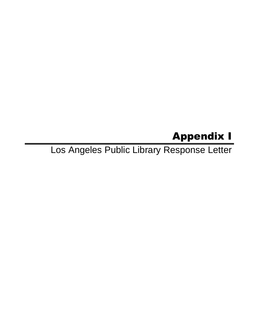## Appendix I

Los Angeles Public Library Response Letter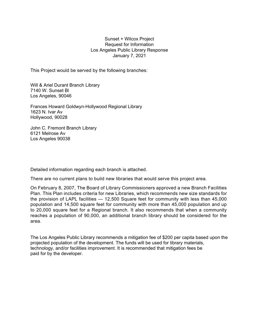## Sunset + Wilcox Project Request for Information Los Angeles Public Library Response January 7, 2021

This Project would be served by the following branches:

Will & Ariel Durant Branch Library 7140 W. Sunset Bl Los Angeles, 90046

Frances Howard Goldwyn-Hollywood Regional Library 1623 N. Ivar Av Hollywood, 90028

John C. Fremont Branch Library 6121 Melrose Av Los Angeles 90038

Detailed information regarding each branch is attached.

There are no current plans to build new libraries that would serve this project area.

On February 8, 2007, The Board of Library Commissioners approved a new Branch Facilities Plan. This Plan includes criteria for new Libraries, which recommends new size standards for the provision of LAPL facilities — 12,500 Square feet for community with less than 45,000 population and 14,500 square feet for community with more than 45,000 population and up to 20,000 square feet for a Regional branch. It also recommends that when a community reaches a population of 90,000, an additional branch library should be considered for the area.

The Los Angeles Public Library recommends a mitigation fee of \$200 per capita based upon the projected population of the development. The funds will be used for library materials, technology, and/or facilities improvement. It is recommended that mitigation fees be paid for by the developer.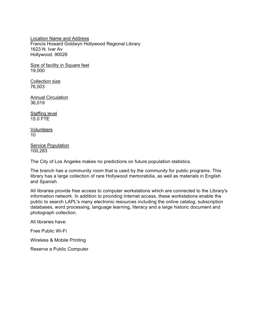Location Name and Address Francis Howard Goldwyn Hollywood Regional Library 1623 N. Ivar Av Hollywood, 90028

Size of facility in Square feet 19,000

Collection size 76,003

**Annual Circulation** 36,019

Staffing level 15.0 FTE

**Volunteers** 10

**Service Population** 100,283

The City of Los Angeles makes no predictions on future population statistics.

The branch has a community room that is used by the community for public programs. This library has a large collection of rare Hollywood memorabilia, as well as materials in English and Spanish.

All libraries provide free access to computer workstations which are connected to the Library's information network. In addition to providing Internet access, these workstations enable the public to search LAPL's many electronic resources including the online catalog, subscription databases, word processing, language learning, literacy and a large historic document and photograph collection.

All libraries have:

Free Public Wi-Fi

Wireless & Mobile Printing

Reserve a Public Computer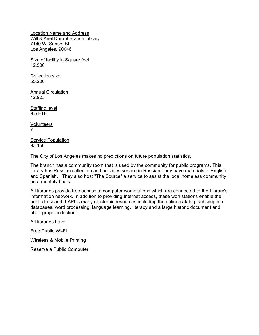Location Name and Address Will & Ariel Durant Branch Library 7140 W. Sunset Bl Los Angeles, 90046

Size of facility in Square feet 12,500

Collection size 55,206

Annual Circulation 42,923

Staffing level 9.5 FTE

Volunteers 7

**Service Population** 93,166

The City of Los Angeles makes no predictions on future population statistics.

The branch has a community room that is used by the community for public programs. This library has Russian collection and provides service in Russian They have materials in English and Spanish. They also host "The Source" a service to assist the local homeless community on a monthly basis.

All libraries provide free access to computer workstations which are connected to the Library's information network. In addition to providing Internet access, these workstations enable the public to search LAPL's many electronic resources including the online catalog, subscription databases, word processing, language learning, literacy and a large historic document and photograph collection.

All libraries have:

Free Public Wi-Fi

Wireless & Mobile Printing

Reserve a Public Computer